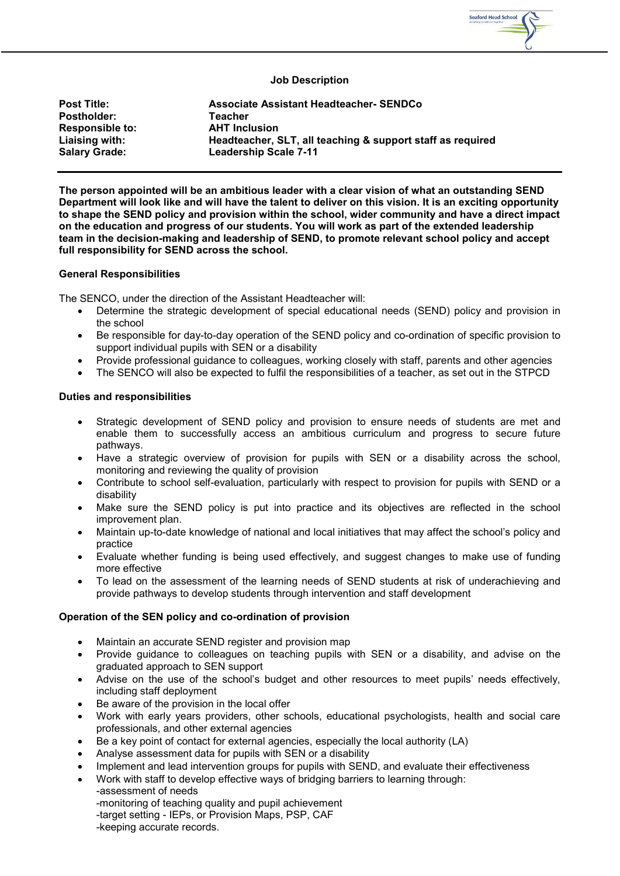

### **Job Description**

**Post Title: Associate Assistant Headteacher- SENDCo Postholder: Teacher Responsible to: Liaising with: Headteacher, SLT, all teaching & support staff as required Salary Grade: Leadership Scale 7-11**

**The person appointed will be an ambitious leader with a clear vision of what an outstanding SEND Department will look like and will have the talent to deliver on this vision. It is an exciting opportunity to shape the SEND policy and provision within the school, wider community and have a direct impact on the education and progress of our students. You will work as part of the extended leadership team in the decision-making and leadership of SEND, to promote relevant school policy and accept full responsibility for SEND across the school.**

#### **General Responsibilities**

The SENCO, under the direction of the Assistant Headteacher will:

- Determine the strategic development of special educational needs (SEND) policy and provision in the school
- Be responsible for day-to-day operation of the SEND policy and co-ordination of specific provision to support individual pupils with SEN or a disability
- Provide professional quidance to colleagues, working closely with staff, parents and other agencies
- The SENCO will also be expected to fulfil the responsibilities of a teacher, as set out in the STPCD

#### **Duties and responsibilities**

- Strategic development of SEND policy and provision to ensure needs of students are met and enable them to successfully access an ambitious curriculum and progress to secure future pathways.
- Have a strategic overview of provision for pupils with SEN or a disability across the school, monitoring and reviewing the quality of provision
- Contribute to school self-evaluation, particularly with respect to provision for pupils with SEND or a disability
- Make sure the SEND policy is put into practice and its objectives are reflected in the school improvement plan.
- Maintain up-to-date knowledge of national and local initiatives that may affect the school's policy and practice
- Evaluate whether funding is being used effectively, and suggest changes to make use of funding more effective
- To lead on the assessment of the learning needs of SEND students at risk of underachieving and provide pathways to develop students through intervention and staff development

# **Operation of the SEN policy and co-ordination of provision**

- Maintain an accurate SEND register and provision map
- Provide guidance to colleagues on teaching pupils with SEN or a disability, and advise on the graduated approach to SEN support
- Advise on the use of the school's budget and other resources to meet pupils' needs effectively, including staff deployment
- Be aware of the provision in the local offer
- Work with early years providers, other schools, educational psychologists, health and social care professionals, and other external agencies
- Be a key point of contact for external agencies, especially the local authority (LA)
- Analyse assessment data for pupils with SEN or a disability
- Implement and lead intervention groups for pupils with SEND, and evaluate their effectiveness
- Work with staff to develop effective ways of bridging barriers to learning through:

-assessment of needs -monitoring of teaching quality and pupil achievement -target setting - IEPs, or Provision Maps, PSP, CAF -keeping accurate records.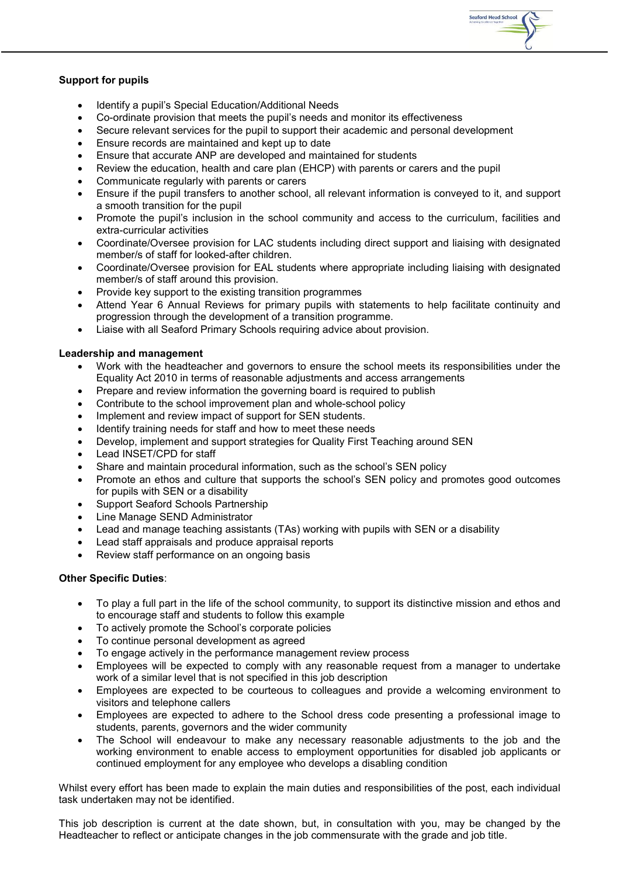

# **Support for pupils**

- Identify a pupil's Special Education/Additional Needs
- Co-ordinate provision that meets the pupil's needs and monitor its effectiveness
- Secure relevant services for the pupil to support their academic and personal development
- Ensure records are maintained and kept up to date
- Ensure that accurate ANP are developed and maintained for students
- Review the education, health and care plan (EHCP) with parents or carers and the pupil
- Communicate regularly with parents or carers
- Ensure if the pupil transfers to another school, all relevant information is conveyed to it, and support a smooth transition for the pupil
- Promote the pupil's inclusion in the school community and access to the curriculum, facilities and extra-curricular activities
- Coordinate/Oversee provision for LAC students including direct support and liaising with designated member/s of staff for looked-after children.
- Coordinate/Oversee provision for EAL students where appropriate including liaising with designated member/s of staff around this provision.
- Provide key support to the existing transition programmes
- Attend Year 6 Annual Reviews for primary pupils with statements to help facilitate continuity and progression through the development of a transition programme.
- Liaise with all Seaford Primary Schools requiring advice about provision.

# **Leadership and management**

- Work with the headteacher and governors to ensure the school meets its responsibilities under the Equality Act 2010 in terms of reasonable adjustments and access arrangements
- Prepare and review information the governing board is required to publish
- Contribute to the school improvement plan and whole-school policy
- Implement and review impact of support for SEN students.
- Identify training needs for staff and how to meet these needs
- Develop, implement and support strategies for Quality First Teaching around SEN
- Lead INSET/CPD for staff
- Share and maintain procedural information, such as the school's SEN policy
- Promote an ethos and culture that supports the school's SEN policy and promotes good outcomes for pupils with SEN or a disability
- Support Seaford Schools Partnership
- Line Manage SEND Administrator
- Lead and manage teaching assistants (TAs) working with pupils with SEN or a disability
- Lead staff appraisals and produce appraisal reports
- Review staff performance on an ongoing basis

# **Other Specific Duties**:

- To play a full part in the life of the school community, to support its distinctive mission and ethos and to encourage staff and students to follow this example
- To actively promote the School's corporate policies
- To continue personal development as agreed
- To engage actively in the performance management review process
- Employees will be expected to comply with any reasonable request from a manager to undertake work of a similar level that is not specified in this job description
- Employees are expected to be courteous to colleagues and provide a welcoming environment to visitors and telephone callers
- Employees are expected to adhere to the School dress code presenting a professional image to students, parents, governors and the wider community
- The School will endeavour to make any necessary reasonable adjustments to the job and the working environment to enable access to employment opportunities for disabled job applicants or continued employment for any employee who develops a disabling condition

Whilst every effort has been made to explain the main duties and responsibilities of the post, each individual task undertaken may not be identified.

This job description is current at the date shown, but, in consultation with you, may be changed by the Headteacher to reflect or anticipate changes in the job commensurate with the grade and job title.